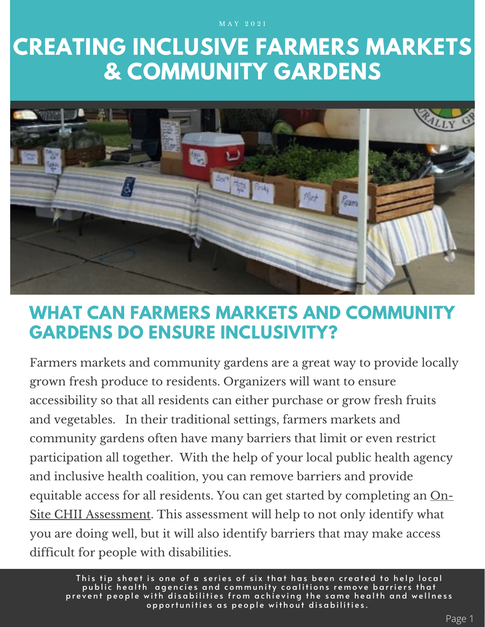M A Y 2 0 2 1

# **CREATING INCLUSIVE FARMERS MARKETS & COMMUNITY GARDENS**



# **WHAT CAN FARMERS MARKETS AND COMMUNITY GARDENS DO ENSURE INCLUSIVITY?**

Farmers markets and community gardens are a great way to provide locally grown fresh produce to residents. Organizers will want to ensure accessibility so that all residents can either purchase or grow fresh fruits and vegetables. In their traditional settings, farmers markets and community gardens often have many barriers that limit or even restrict participation all together. With the help of your local public health agency and inclusive health coalition, you can remove barriers and provide equitable access for all residents. You can get started by completing an On-Site CHII [Assessment.](https://www.nchpad.org/fppics/CHII_On-Site%20Assessment.pdf) This assessment will help to not only identify what you are doing well, but it will also identify barriers that may make access difficult for people with disabilities.

This tip sheet is one of a series of six that has been created to help local public health agencies and community coalitions remove barriers that prevent people with disabilities from achieving the same health and wellness  $\overline{\phantom{a}}$ opportunities as people without disabilities.